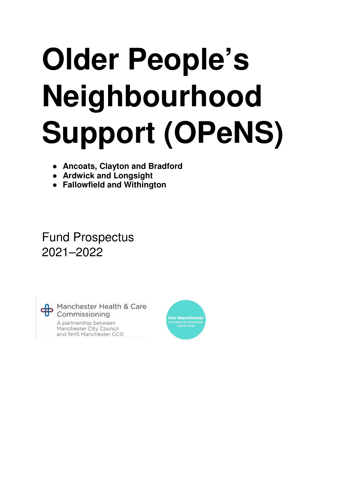# **Older People's Neighbourhood Support (OPeNS)**

- **Ancoats, Clayton and Bradford**
- **Ardwick and Longsight**
- **Fallowfield and Withington**

# Fund Prospectus 2021–2022



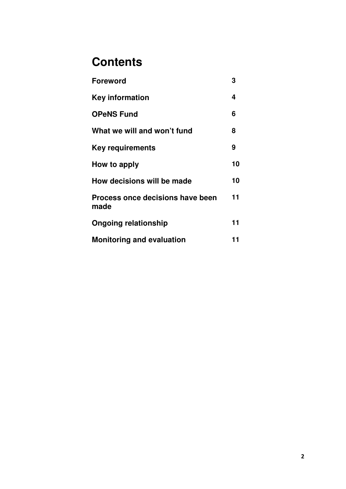# **Contents**

| <b>Foreword</b>                                 | 3  |
|-------------------------------------------------|----|
| Key information                                 | 4  |
| <b>OPeNS Fund</b>                               | 6  |
| What we will and won't fund                     | 8  |
| Key requirements                                | 9  |
| How to apply                                    | 10 |
| How decisions will be made                      | 10 |
| <b>Process once decisions have been</b><br>made | 11 |
| <b>Ongoing relationship</b>                     | 11 |
| <b>Monitoring and evaluation</b>                | 11 |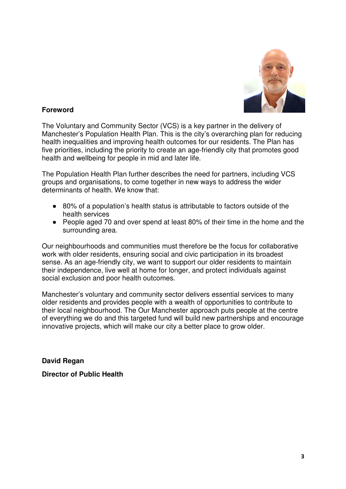

#### **Foreword**

The Voluntary and Community Sector (VCS) is a key partner in the delivery of Manchester's Population Health Plan. This is the city's overarching plan for reducing health inequalities and improving health outcomes for our residents. The Plan has five priorities, including the priority to create an age-friendly city that promotes good health and wellbeing for people in mid and later life.

The Population Health Plan further describes the need for partners, including VCS groups and organisations, to come together in new ways to address the wider determinants of health. We know that:

- 80% of a population's health status is attributable to factors outside of the health services
- People aged 70 and over spend at least 80% of their time in the home and the surrounding area.

Our neighbourhoods and communities must therefore be the focus for collaborative work with older residents, ensuring social and civic participation in its broadest sense. As an age-friendly city, we want to support our older residents to maintain their independence, live well at home for longer, and protect individuals against social exclusion and poor health outcomes.

Manchester's voluntary and community sector delivers essential services to many older residents and provides people with a wealth of opportunities to contribute to their local neighbourhood. The Our Manchester approach puts people at the centre of everything we do and this targeted fund will build new partnerships and encourage innovative projects, which will make our city a better place to grow older.

**David Regan Director of Public Health**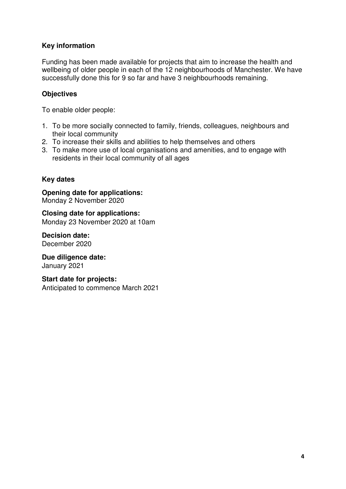#### **Key information**

Funding has been made available for projects that aim to increase the health and wellbeing of older people in each of the 12 neighbourhoods of Manchester. We have successfully done this for 9 so far and have 3 neighbourhoods remaining.

#### **Objectives**

To enable older people:

- 1. To be more socially connected to family, friends, colleagues, neighbours and their local community
- 2. To increase their skills and abilities to help themselves and others
- 3. To make more use of local organisations and amenities, and to engage with residents in their local community of all ages

## **Key dates**

#### **Opening date for applications:**  Monday 2 November 2020

#### **Closing date for applications:**  Monday 23 November 2020 at 10am

**Decision date:**  December 2020

**Due diligence date:**  January 2021

#### **Start date for projects:**

Anticipated to commence March 2021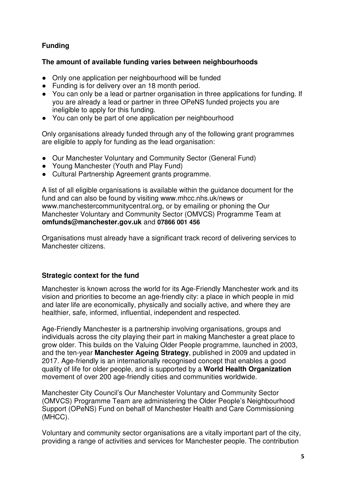# **Funding**

#### **The amount of available funding varies between neighbourhoods**

- Only one application per neighbourhood will be funded
- Funding is for delivery over an 18 month period.
- You can only be a lead or partner organisation in three applications for funding. If you are already a lead or partner in three OPeNS funded projects you are ineligible to apply for this funding.
- You can only be part of one application per neighbourhood

Only organisations already funded through any of the following grant programmes are eligible to apply for funding as the lead organisation:

- Our Manchester Voluntary and Community Sector (General Fund)
- Young Manchester (Youth and Play Fund)
- Cultural Partnership Agreement grants programme.

A list of all eligible organisations is available within the guidance document for the fund and can also be found by visiting www.mhcc.nhs.uk/news or www.manchestercommunitycentral.org, or by emailing or phoning the Our Manchester Voluntary and Community Sector (OMVCS) Programme Team at **omfunds@manchester.gov.uk** and **07866 001 456**

Organisations must already have a significant track record of delivering services to Manchester citizens.

#### **Strategic context for the fund**

Manchester is known across the world for its Age-Friendly Manchester work and its vision and priorities to become an age-friendly city: a place in which people in mid and later life are economically, physically and socially active, and where they are healthier, safe, informed, influential, independent and respected.

Age-Friendly Manchester is a partnership involving organisations, groups and individuals across the city playing their part in making Manchester a great place to grow older. This builds on the Valuing Older People programme, launched in 2003, and the ten-year **Manchester Ageing Strategy**, published in 2009 and updated in 2017. Age-friendly is an internationally recognised concept that enables a good quality of life for older people, and is supported by a **World Health Organization** movement of over 200 age-friendly cities and communities worldwide.

Manchester City Council's Our Manchester Voluntary and Community Sector (OMVCS) Programme Team are administering the Older People's Neighbourhood Support (OPeNS) Fund on behalf of Manchester Health and Care Commissioning (MHCC).

Voluntary and community sector organisations are a vitally important part of the city, providing a range of activities and services for Manchester people. The contribution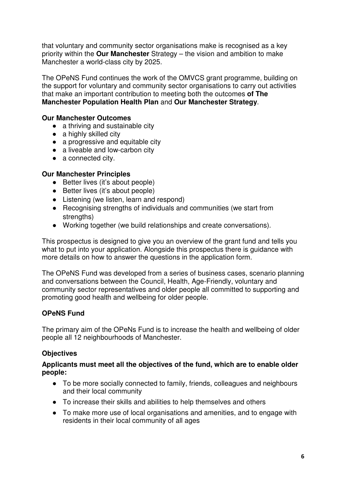that voluntary and community sector organisations make is recognised as a key priority within the **Our Manchester** Strategy – the vision and ambition to make Manchester a world-class city by 2025.

The OPeNS Fund continues the work of the OMVCS grant programme, building on the support for voluntary and community sector organisations to carry out activities that make an important contribution to meeting both the outcomes **of The Manchester Population Health Plan** and **Our Manchester Strategy**.

#### **Our Manchester Outcomes**

- a thriving and sustainable city
- $\bullet$  a highly skilled city
- a progressive and equitable city
- a liveable and low-carbon city
- a connected city.

#### **Our Manchester Principles**

- Better lives (it's about people)
- Better lives (it's about people)
- Listening (we listen, learn and respond)
- Recognising strengths of individuals and communities (we start from strengths)
- Working together (we build relationships and create conversations).

This prospectus is designed to give you an overview of the grant fund and tells you what to put into your application. Alongside this prospectus there is guidance with more details on how to answer the questions in the application form.

The OPeNS Fund was developed from a series of business cases, scenario planning and conversations between the Council, Health, Age-Friendly, voluntary and community sector representatives and older people all committed to supporting and promoting good health and wellbeing for older people.

# **OPeNS Fund**

The primary aim of the OPeNs Fund is to increase the health and wellbeing of older people all 12 neighbourhoods of Manchester.

# **Objectives**

#### **Applicants must meet all the objectives of the fund, which are to enable older people:**

- To be more socially connected to family, friends, colleagues and neighbours and their local community
- To increase their skills and abilities to help themselves and others
- To make more use of local organisations and amenities, and to engage with residents in their local community of all ages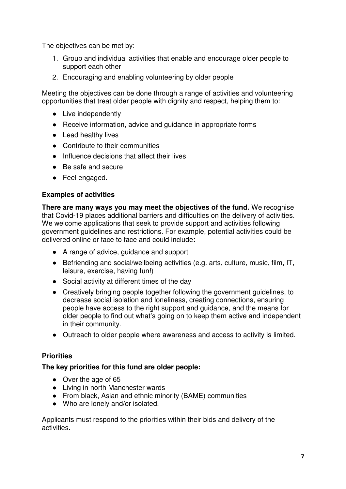The objectives can be met by:

- 1. Group and individual activities that enable and encourage older people to support each other
- 2. Encouraging and enabling volunteering by older people

Meeting the objectives can be done through a range of activities and volunteering opportunities that treat older people with dignity and respect, helping them to:

- Live independently
- Receive information, advice and quidance in appropriate forms
- Lead healthy lives
- Contribute to their communities
- Influence decisions that affect their lives
- Be safe and secure
- Feel engaged.

#### **Examples of activities**

**There are many ways you may meet the objectives of the fund.** We recognise that Covid-19 places additional barriers and difficulties on the delivery of activities. We welcome applications that seek to provide support and activities following government guidelines and restrictions. For example, potential activities could be delivered online or face to face and could include**:**

- A range of advice, quidance and support
- Befriending and social/wellbeing activities (e.g. arts, culture, music, film, IT, leisure, exercise, having fun!)
- Social activity at different times of the day
- Creatively bringing people together following the government guidelines, to decrease social isolation and loneliness, creating connections, ensuring people have access to the right support and guidance, and the means for older people to find out what's going on to keep them active and independent in their community.
- Outreach to older people where awareness and access to activity is limited.

#### **Priorities**

#### **The key priorities for this fund are older people:**

- Over the age of 65
- Living in north Manchester wards
- From black, Asian and ethnic minority (BAME) communities
- Who are lonely and/or isolated.

Applicants must respond to the priorities within their bids and delivery of the activities.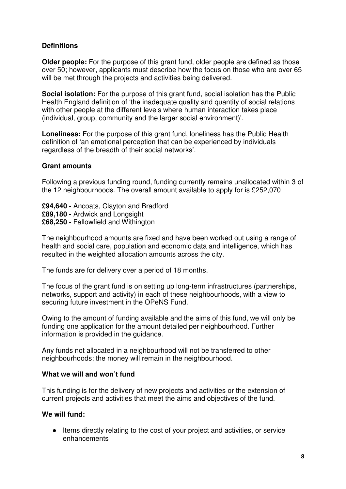#### **Definitions**

**Older people:** For the purpose of this grant fund, older people are defined as those over 50; however, applicants must describe how the focus on those who are over 65 will be met through the projects and activities being delivered.

**Social isolation:** For the purpose of this grant fund, social isolation has the Public Health England definition of 'the inadequate quality and quantity of social relations with other people at the different levels where human interaction takes place (individual, group, community and the larger social environment)'.

**Loneliness:** For the purpose of this grant fund, loneliness has the Public Health definition of 'an emotional perception that can be experienced by individuals regardless of the breadth of their social networks'.

#### **Grant amounts**

Following a previous funding round, funding currently remains unallocated within 3 of the 12 neighbourhoods. The overall amount available to apply for is £252,070

**£94,640 -** Ancoats, Clayton and Bradford **£89,180 -** Ardwick and Longsight **£68,250 -** Fallowfield and Withington

The neighbourhood amounts are fixed and have been worked out using a range of health and social care, population and economic data and intelligence, which has resulted in the weighted allocation amounts across the city.

The funds are for delivery over a period of 18 months.

The focus of the grant fund is on setting up long-term infrastructures (partnerships, networks, support and activity) in each of these neighbourhoods, with a view to securing future investment in the OPeNS Fund.

Owing to the amount of funding available and the aims of this fund, we will only be funding one application for the amount detailed per neighbourhood. Further information is provided in the guidance.

Any funds not allocated in a neighbourhood will not be transferred to other neighbourhoods; the money will remain in the neighbourhood.

#### **What we will and won't fund**

This funding is for the delivery of new projects and activities or the extension of current projects and activities that meet the aims and objectives of the fund.

#### **We will fund:**

● Items directly relating to the cost of your project and activities, or service enhancements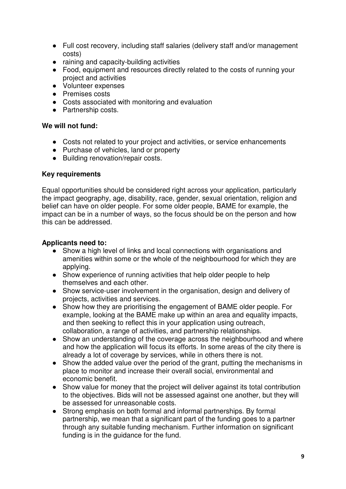- Full cost recovery, including staff salaries (delivery staff and/or management costs)
- raining and capacity-building activities
- Food, equipment and resources directly related to the costs of running your project and activities
- Volunteer expenses
- Premises costs
- Costs associated with monitoring and evaluation
- Partnership costs.

#### **We will not fund:**

- Costs not related to your project and activities, or service enhancements
- Purchase of vehicles, land or property
- Building renovation/repair costs.

#### **Key requirements**

Equal opportunities should be considered right across your application, particularly the impact geography, age, disability, race, gender, sexual orientation, religion and belief can have on older people. For some older people, BAME for example, the impact can be in a number of ways, so the focus should be on the person and how this can be addressed.

#### **Applicants need to:**

- Show a high level of links and local connections with organisations and amenities within some or the whole of the neighbourhood for which they are applying.
- Show experience of running activities that help older people to help themselves and each other.
- Show service-user involvement in the organisation, design and delivery of projects, activities and services.
- Show how they are prioritising the engagement of BAME older people. For example, looking at the BAME make up within an area and equality impacts, and then seeking to reflect this in your application using outreach, collaboration, a range of activities, and partnership relationships.
- Show an understanding of the coverage across the neighbourhood and where and how the application will focus its efforts. In some areas of the city there is already a lot of coverage by services, while in others there is not.
- Show the added value over the period of the grant, putting the mechanisms in place to monitor and increase their overall social, environmental and economic benefit.
- Show value for money that the project will deliver against its total contribution to the objectives. Bids will not be assessed against one another, but they will be assessed for unreasonable costs.
- Strong emphasis on both formal and informal partnerships. By formal partnership, we mean that a significant part of the funding goes to a partner through any suitable funding mechanism. Further information on significant funding is in the guidance for the fund.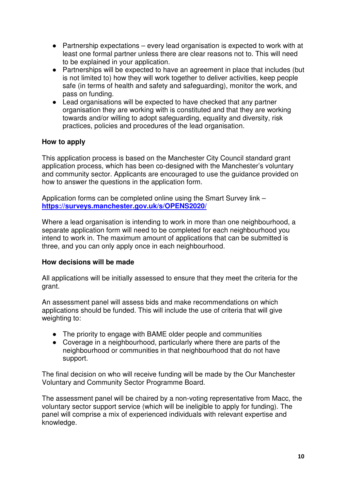- Partnership expectations every lead organisation is expected to work with at least one formal partner unless there are clear reasons not to. This will need to be explained in your application.
- Partnerships will be expected to have an agreement in place that includes (but is not limited to) how they will work together to deliver activities, keep people safe (in terms of health and safety and safeguarding), monitor the work, and pass on funding.
- Lead organisations will be expected to have checked that any partner organisation they are working with is constituted and that they are working towards and/or willing to adopt safeguarding, equality and diversity, risk practices, policies and procedures of the lead organisation.

## **How to apply**

This application process is based on the Manchester City Council standard grant application process, which has been co-designed with the Manchester's voluntary and community sector. Applicants are encouraged to use the guidance provided on how to answer the questions in the application form.

Application forms can be completed online using the Smart Survey link – **https://surveys.manchester.gov.uk/s/OPENS2020/**

Where a lead organisation is intending to work in more than one neighbourhood, a separate application form will need to be completed for each neighbourhood you intend to work in. The maximum amount of applications that can be submitted is three, and you can only apply once in each neighbourhood.

#### **How decisions will be made**

All applications will be initially assessed to ensure that they meet the criteria for the grant.

An assessment panel will assess bids and make recommendations on which applications should be funded. This will include the use of criteria that will give weighting to:

- The priority to engage with BAME older people and communities
- Coverage in a neighbourhood, particularly where there are parts of the neighbourhood or communities in that neighbourhood that do not have support.

The final decision on who will receive funding will be made by the Our Manchester Voluntary and Community Sector Programme Board.

The assessment panel will be chaired by a non-voting representative from Macc, the voluntary sector support service (which will be ineligible to apply for funding). The panel will comprise a mix of experienced individuals with relevant expertise and knowledge.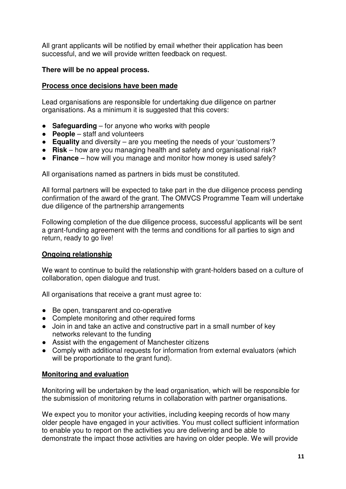All grant applicants will be notified by email whether their application has been successful, and we will provide written feedback on request.

#### **There will be no appeal process.**

#### **Process once decisions have been made**

Lead organisations are responsible for undertaking due diligence on partner organisations. As a minimum it is suggested that this covers:

- **Safeguarding** for anyone who works with people
- **People** staff and volunteers
- **Equality** and diversity are you meeting the needs of your 'customers'?
- **Risk** how are you managing health and safety and organisational risk?
- **Finance** how will you manage and monitor how money is used safely?

All organisations named as partners in bids must be constituted.

All formal partners will be expected to take part in the due diligence process pending confirmation of the award of the grant. The OMVCS Programme Team will undertake due diligence of the partnership arrangements

Following completion of the due diligence process, successful applicants will be sent a grant-funding agreement with the terms and conditions for all parties to sign and return, ready to go live!

#### **Ongoing relationship**

We want to continue to build the relationship with grant-holders based on a culture of collaboration, open dialogue and trust.

All organisations that receive a grant must agree to:

- Be open, transparent and co-operative
- Complete monitoring and other required forms
- Join in and take an active and constructive part in a small number of key networks relevant to the funding
- Assist with the engagement of Manchester citizens
- Comply with additional requests for information from external evaluators (which will be proportionate to the grant fund).

#### **Monitoring and evaluation**

Monitoring will be undertaken by the lead organisation, which will be responsible for the submission of monitoring returns in collaboration with partner organisations.

We expect you to monitor your activities, including keeping records of how many older people have engaged in your activities. You must collect sufficient information to enable you to report on the activities you are delivering and be able to demonstrate the impact those activities are having on older people. We will provide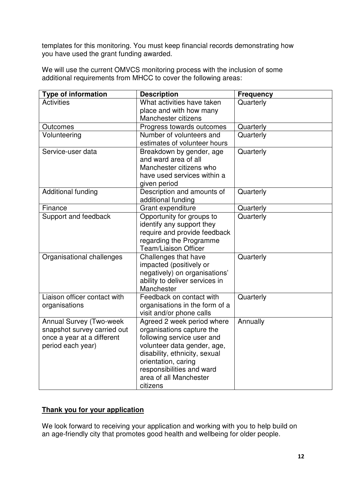templates for this monitoring. You must keep financial records demonstrating how you have used the grant funding awarded.

We will use the current OMVCS monitoring process with the inclusion of some additional requirements from MHCC to cover the following areas:

| <b>Type of information</b>   | <b>Description</b>                                  | <b>Frequency</b> |
|------------------------------|-----------------------------------------------------|------------------|
| <b>Activities</b>            | What activities have taken                          | Quarterly        |
|                              | place and with how many                             |                  |
|                              | Manchester citizens                                 |                  |
| Outcomes                     | Progress towards outcomes                           | Quarterly        |
| Volunteering                 | Number of volunteers and                            | Quarterly        |
|                              | estimates of volunteer hours                        |                  |
| Service-user data            | Breakdown by gender, age                            | Quarterly        |
|                              | and ward area of all                                |                  |
|                              | Manchester citizens who                             |                  |
|                              | have used services within a                         |                  |
| <b>Additional funding</b>    | given period<br>Description and amounts of          | Quarterly        |
|                              | additional funding                                  |                  |
| Finance                      | Grant expenditure                                   | Quarterly        |
| Support and feedback         | Opportunity for groups to                           | Quarterly        |
|                              | identify any support they                           |                  |
|                              | require and provide feedback                        |                  |
|                              | regarding the Programme                             |                  |
|                              | <b>Team/Liaison Officer</b>                         |                  |
| Organisational challenges    | Challenges that have                                | Quarterly        |
|                              | impacted (positively or                             |                  |
|                              | negatively) on organisations'                       |                  |
|                              | ability to deliver services in                      |                  |
|                              | Manchester                                          |                  |
| Liaison officer contact with | Feedback on contact with                            | Quarterly        |
| organisations                | organisations in the form of a                      |                  |
|                              | visit and/or phone calls                            |                  |
| Annual Survey (Two-week      | Agreed 2 week period where                          | Annually         |
| snapshot survey carried out  | organisations capture the                           |                  |
| once a year at a different   | following service user and                          |                  |
| period each year)            | volunteer data gender, age,                         |                  |
|                              | disability, ethnicity, sexual                       |                  |
|                              | orientation, caring                                 |                  |
|                              | responsibilities and ward<br>area of all Manchester |                  |
|                              | citizens                                            |                  |
|                              |                                                     |                  |

#### **Thank you for your application**

We look forward to receiving your application and working with you to help build on an age-friendly city that promotes good health and wellbeing for older people.